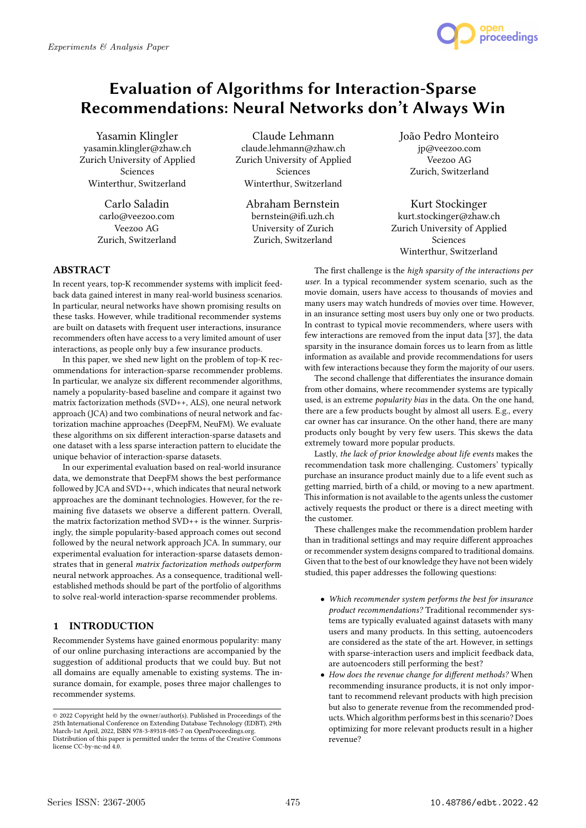

# Evaluation of Algorithms for Interaction-Sparse Recommendations: Neural Networks don't Always Win

Yasamin Klingler yasamin.klingler@zhaw.ch Zurich University of Applied Sciences Winterthur, Switzerland

> Carlo Saladin carlo@veezoo.com Veezoo AG Zurich, Switzerland

Claude Lehmann claude.lehmann@zhaw.ch Zurich University of Applied Sciences Winterthur, Switzerland

Abraham Bernstein bernstein@ifi.uzh.ch University of Zurich Zurich, Switzerland

João Pedro Monteiro jp@veezoo.com Veezoo AG Zurich, Switzerland

Kurt Stockinger kurt.stockinger@zhaw.ch Zurich University of Applied Sciences Winterthur, Switzerland

## ABSTRACT

In recent years, top-K recommender systems with implicit feedback data gained interest in many real-world business scenarios. In particular, neural networks have shown promising results on these tasks. However, while traditional recommender systems are built on datasets with frequent user interactions, insurance recommenders often have access to a very limited amount of user interactions, as people only buy a few insurance products.

In this paper, we shed new light on the problem of top-K recommendations for interaction-sparse recommender problems. In particular, we analyze six different recommender algorithms, namely a popularity-based baseline and compare it against two matrix factorization methods (SVD++, ALS), one neural network approach (JCA) and two combinations of neural network and factorization machine approaches (DeepFM, NeuFM). We evaluate these algorithms on six different interaction-sparse datasets and one dataset with a less sparse interaction pattern to elucidate the unique behavior of interaction-sparse datasets.

In our experimental evaluation based on real-world insurance data, we demonstrate that DeepFM shows the best performance followed by JCA and SVD++, which indicates that neural network approaches are the dominant technologies. However, for the remaining five datasets we observe a different pattern. Overall, the matrix factorization method SVD++ is the winner. Surprisingly, the simple popularity-based approach comes out second followed by the neural network approach JCA. In summary, our experimental evaluation for interaction-sparse datasets demonstrates that in general matrix factorization methods outperform neural network approaches. As a consequence, traditional wellestablished methods should be part of the portfolio of algorithms to solve real-world interaction-sparse recommender problems.

#### 1 INTRODUCTION

Recommender Systems have gained enormous popularity: many of our online purchasing interactions are accompanied by the suggestion of additional products that we could buy. But not all domains are equally amenable to existing systems. The insurance domain, for example, poses three major challenges to recommender systems.

The first challenge is the high sparsity of the interactions per user. In a typical recommender system scenario, such as the movie domain, users have access to thousands of movies and many users may watch hundreds of movies over time. However, in an insurance setting most users buy only one or two products. In contrast to typical movie recommenders, where users with few interactions are removed from the input data [37], the data sparsity in the insurance domain forces us to learn from as little information as available and provide recommendations for users with few interactions because they form the majority of our users.

The second challenge that differentiates the insurance domain from other domains, where recommender systems are typically used, is an extreme popularity bias in the data. On the one hand, there are a few products bought by almost all users. E.g., every car owner has car insurance. On the other hand, there are many products only bought by very few users. This skews the data extremely toward more popular products.

Lastly, the lack of prior knowledge about life events makes the recommendation task more challenging. Customers' typically purchase an insurance product mainly due to a life event such as getting married, birth of a child, or moving to a new apartment. This information is not available to the agents unless the customer actively requests the product or there is a direct meeting with the customer.

These challenges make the recommendation problem harder than in traditional settings and may require different approaches or recommender system designs compared to traditional domains. Given that to the best of our knowledge they have not been widely studied, this paper addresses the following questions:

- Which recommender system performs the best for insurance product recommendations? Traditional recommender systems are typically evaluated against datasets with many users and many products. In this setting, autoencoders are considered as the state of the art. However, in settings with sparse-interaction users and implicit feedback data, are autoencoders still performing the best?
- How does the revenue change for different methods? When recommending insurance products, it is not only important to recommend relevant products with high precision but also to generate revenue from the recommended products. Which algorithm performs best in this scenario? Does optimizing for more relevant products result in a higher revenue?

<sup>©</sup> 2022 Copyright held by the owner/author(s). Published in Proceedings of the 25th International Conference on Extending Database Technology (EDBT), 29th March-1st April, 2022, ISBN 978-3-89318-085-7 on OpenProceedings.org. Distribution of this paper is permitted under the terms of the Creative Commons license CC-by-nc-nd 4.0.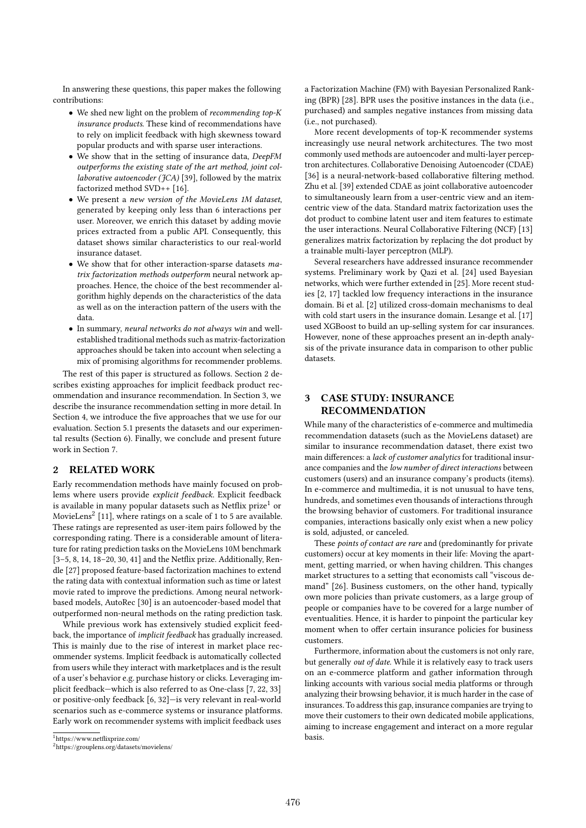In answering these questions, this paper makes the following contributions:

- We shed new light on the problem of recommending top-K insurance products. These kind of recommendations have to rely on implicit feedback with high skewness toward popular products and with sparse user interactions.
- We show that in the setting of insurance data, DeepFM outperforms the existing state of the art method, joint collaborative autoencoder ( $fCA$ ) [39], followed by the matrix factorized method SVD++ [16].
- We present a new version of the MovieLens 1M dataset, generated by keeping only less than 6 interactions per user. Moreover, we enrich this dataset by adding movie prices extracted from a public API. Consequently, this dataset shows similar characteristics to our real-world insurance dataset.
- We show that for other interaction-sparse datasets matrix factorization methods outperform neural network approaches. Hence, the choice of the best recommender algorithm highly depends on the characteristics of the data as well as on the interaction pattern of the users with the data.
- In summary, neural networks do not always win and wellestablished traditional methods such as matrix-factorization approaches should be taken into account when selecting a mix of promising algorithms for recommender problems.

The rest of this paper is structured as follows. Section 2 describes existing approaches for implicit feedback product recommendation and insurance recommendation. In Section 3, we describe the insurance recommendation setting in more detail. In Section 4, we introduce the five approaches that we use for our evaluation. Section 5.1 presents the datasets and our experimental results (Section 6). Finally, we conclude and present future work in Section 7.

## 2 RELATED WORK

Early recommendation methods have mainly focused on problems where users provide explicit feedback. Explicit feedback is available in many popular datasets such as Netflix prize<sup>1</sup> or MovieLens $^2$  [11], where ratings on a scale of 1 to 5 are available. These ratings are represented as user-item pairs followed by the corresponding rating. There is a considerable amount of literature for rating prediction tasks on the MovieLens 10M benchmark [3–5, 8, 14, 18–20, 30, 41] and the Netflix prize. Additionally, Rendle [27] proposed feature-based factorization machines to extend the rating data with contextual information such as time or latest movie rated to improve the predictions. Among neural networkbased models, AutoRec [30] is an autoencoder-based model that outperformed non-neural methods on the rating prediction task.

While previous work has extensively studied explicit feedback, the importance of implicit feedback has gradually increased. This is mainly due to the rise of interest in market place recommender systems. Implicit feedback is automatically collected from users while they interact with marketplaces and is the result of a user's behavior e.g. purchase history or clicks. Leveraging implicit feedback—which is also referred to as One-class [7, 22, 33] or positive-only feedback [6, 32]—is very relevant in real-world scenarios such as e-commerce systems or insurance platforms. Early work on recommender systems with implicit feedback uses

<sup>1</sup>https://www.netflixprize.com/

a Factorization Machine (FM) with Bayesian Personalized Ranking (BPR) [28]. BPR uses the positive instances in the data (i.e., purchased) and samples negative instances from missing data (i.e., not purchased).

More recent developments of top-K recommender systems increasingly use neural network architectures. The two most commonly used methods are autoencoder and multi-layer perceptron architectures. Collaborative Denoising Autoencoder (CDAE) [36] is a neural-network-based collaborative filtering method. Zhu et al. [39] extended CDAE as joint collaborative autoencoder to simultaneously learn from a user-centric view and an itemcentric view of the data. Standard matrix factorization uses the dot product to combine latent user and item features to estimate the user interactions. Neural Collaborative Filtering (NCF) [13] generalizes matrix factorization by replacing the dot product by a trainable multi-layer perceptron (MLP).

Several researchers have addressed insurance recommender systems. Preliminary work by Qazi et al. [24] used Bayesian networks, which were further extended in [25]. More recent studies [2, 17] tackled low frequency interactions in the insurance domain. Bi et al. [2] utilized cross-domain mechanisms to deal with cold start users in the insurance domain. Lesange et al. [17] used XGBoost to build an up-selling system for car insurances. However, none of these approaches present an in-depth analysis of the private insurance data in comparison to other public datasets.

# 3 CASE STUDY: INSURANCE RECOMMENDATION

While many of the characteristics of e-commerce and multimedia recommendation datasets (such as the MovieLens dataset) are similar to insurance recommendation dataset, there exist two main differences: a lack of customer analytics for traditional insurance companies and the low number of direct interactions between customers (users) and an insurance company's products (items). In e-commerce and multimedia, it is not unusual to have tens, hundreds, and sometimes even thousands of interactions through the browsing behavior of customers. For traditional insurance companies, interactions basically only exist when a new policy is sold, adjusted, or canceled.

These points of contact are rare and (predominantly for private customers) occur at key moments in their life: Moving the apartment, getting married, or when having children. This changes market structures to a setting that economists call "viscous demand" [26]. Business customers, on the other hand, typically own more policies than private customers, as a large group of people or companies have to be covered for a large number of eventualities. Hence, it is harder to pinpoint the particular key moment when to offer certain insurance policies for business customers.

Furthermore, information about the customers is not only rare, but generally out of date. While it is relatively easy to track users on an e-commerce platform and gather information through linking accounts with various social media platforms or through analyzing their browsing behavior, it is much harder in the case of insurances. To address this gap, insurance companies are trying to move their customers to their own dedicated mobile applications, aiming to increase engagement and interact on a more regular basis.

<sup>2</sup>https://grouplens.org/datasets/movielens/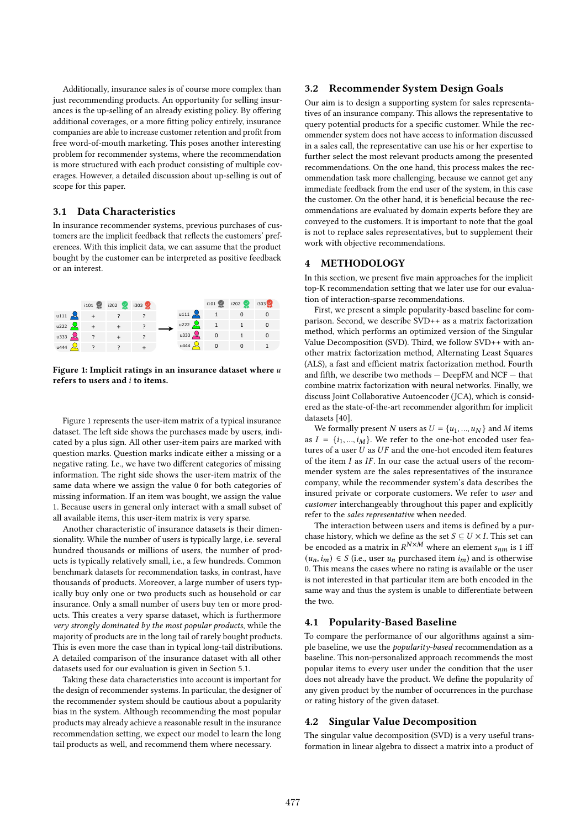Additionally, insurance sales is of course more complex than just recommending products. An opportunity for selling insurances is the up-selling of an already existing policy. By offering additional coverages, or a more fitting policy entirely, insurance companies are able to increase customer retention and profit from free word-of-mouth marketing. This poses another interesting problem for recommender systems, where the recommendation is more structured with each product consisting of multiple coverages. However, a detailed discussion about up-selling is out of scope for this paper.

# 3.1 Data Characteristics

In insurance recommender systems, previous purchases of customers are the implicit feedback that reflects the customers' preferences. With this implicit data, we can assume that the product bought by the customer can be interpreted as positive feedback or an interest.



Figure 1: Implicit ratings in an insurance dataset where  $u$ refers to users and  $i$  to items.

Figure 1 represents the user-item matrix of a typical insurance dataset. The left side shows the purchases made by users, indicated by a plus sign. All other user-item pairs are marked with question marks. Question marks indicate either a missing or a negative rating. I.e., we have two different categories of missing information. The right side shows the user-item matrix of the same data where we assign the value 0 for both categories of missing information. If an item was bought, we assign the value 1. Because users in general only interact with a small subset of all available items, this user-item matrix is very sparse.

Another characteristic of insurance datasets is their dimensionality. While the number of users is typically large, i.e. several hundred thousands or millions of users, the number of products is typically relatively small, i.e., a few hundreds. Common benchmark datasets for recommendation tasks, in contrast, have thousands of products. Moreover, a large number of users typically buy only one or two products such as household or car insurance. Only a small number of users buy ten or more products. This creates a very sparse dataset, which is furthermore very strongly dominated by the most popular products, while the majority of products are in the long tail of rarely bought products. This is even more the case than in typical long-tail distributions. A detailed comparison of the insurance dataset with all other datasets used for our evaluation is given in Section 5.1.

Taking these data characteristics into account is important for the design of recommender systems. In particular, the designer of the recommender system should be cautious about a popularity bias in the system. Although recommending the most popular products may already achieve a reasonable result in the insurance recommendation setting, we expect our model to learn the long tail products as well, and recommend them where necessary.

#### 3.2 Recommender System Design Goals

Our aim is to design a supporting system for sales representatives of an insurance company. This allows the representative to query potential products for a specific customer. While the recommender system does not have access to information discussed in a sales call, the representative can use his or her expertise to further select the most relevant products among the presented recommendations. On the one hand, this process makes the recommendation task more challenging, because we cannot get any immediate feedback from the end user of the system, in this case the customer. On the other hand, it is beneficial because the recommendations are evaluated by domain experts before they are conveyed to the customers. It is important to note that the goal is not to replace sales representatives, but to supplement their work with objective recommendations.

## 4 METHODOLOGY

In this section, we present five main approaches for the implicit top-K recommendation setting that we later use for our evaluation of interaction-sparse recommendations.

First, we present a simple popularity-based baseline for comparison. Second, we describe SVD++ as a matrix factorization method, which performs an optimized version of the Singular Value Decomposition (SVD). Third, we follow SVD++ with another matrix factorization method, Alternating Least Squares (ALS), a fast and efficient matrix factorization method. Fourth and fifth, we describe two methods — DeepFM and NCF — that combine matrix factorization with neural networks. Finally, we discuss Joint Collaborative Autoencoder (JCA), which is considered as the state-of-the-art recommender algorithm for implicit datasets [40].

We formally present N users as  $U = \{u_1, ..., u_N\}$  and M items as  $I = \{i_1, ..., i_M\}$ . We refer to the one-hot encoded user features of a user  $U$  as  $UF$  and the one-hot encoded item features of the item  $I$  as  $IF$ . In our case the actual users of the recommender system are the sales representatives of the insurance company, while the recommender system's data describes the insured private or corporate customers. We refer to user and customer interchangeably throughout this paper and explicitly refer to the sales representative when needed.

The interaction between users and items is defined by a purchase history, which we define as the set  $S \subseteq U \times I$ . This set can be encoded as a matrix in  $R^{N \times M}$  where an element  $s_{nm}$  is 1 iff  $(u_n, i_m) \in S$  (i.e., user  $u_n$  purchased item  $i_m$ ) and is otherwise 0. This means the cases where no rating is available or the user is not interested in that particular item are both encoded in the same way and thus the system is unable to differentiate between the two.

#### 4.1 Popularity-Based Baseline

To compare the performance of our algorithms against a simple baseline, we use the *popularity-based* recommendation as a baseline. This non-personalized approach recommends the most popular items to every user under the condition that the user does not already have the product. We define the popularity of any given product by the number of occurrences in the purchase or rating history of the given dataset.

#### 4.2 Singular Value Decomposition

The singular value decomposition (SVD) is a very useful transformation in linear algebra to dissect a matrix into a product of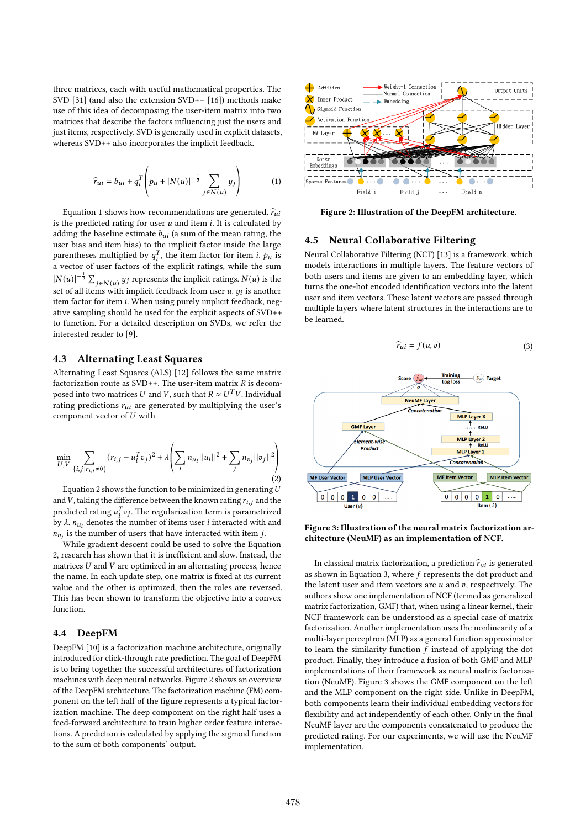three matrices, each with useful mathematical properties. The SVD [31] (and also the extension SVD++ [16]) methods make use of this idea of decomposing the user-item matrix into two matrices that describe the factors influencing just the users and just items, respectively. SVD is generally used in explicit datasets, whereas SVD++ also incorporates the implicit feedback.

$$
\widehat{r}_{ui} = b_{ui} + q_i^T \left( p_u + |N(u)|^{-\frac{1}{2}} \sum_{j \in N(u)} y_j \right) \tag{1}
$$

Equation 1 shows how recommendations are generated.  $\hat{r}_{ui}$ is the predicted rating for user  $u$  and item  $i$ . It is calculated by adding the baseline estimate  $b_{ui}$  (a sum of the mean rating, the user bias and item bias) to the implicit factor inside the large parentheses multiplied by  $q_i^T$ , the item factor for item *i*.  $p_u$  is a vector of user factors of the explicit ratings, while the sum  $|N(u)|^{-\frac{1}{2}}\sum_{j\in N(u)}y_j$  represents the implicit ratings.  $N(u)$  is the set of all items with implicit feedback from user u.  $y_i$  is another item factor for item i. When using purely implicit feedback, negative sampling should be used for the explicit aspects of SVD++ to function. For a detailed description on SVDs, we refer the interested reader to [9].

#### 4.3 Alternating Least Squares

Alternating Least Squares (ALS) [12] follows the same matrix factorization route as  $SVD++$ . The user-item matrix  $R$  is decomposed into two matrices  $U$  and  $V$ , such that  $R \approx U^{\bar T} V$ . Individual rating predictions  $r_{ui}$  are generated by multiplying the user's component vector of  $U$  with

$$
\min_{U,V} \sum_{\{i,j \mid r_{i,j} \neq 0\}} (r_{i,j} - u_i^T v_j)^2 + \lambda \left( \sum_i n_{u_i} ||u_i||^2 + \sum_j n_{v_j} ||v_j||^2 \right)
$$
\n(2)

Equation 2 shows the function to be minimized in generating  $U$ and  $\bar{V}$ , taking the difference between the known rating  $r_{i,j}$  and the predicted rating  $u_i^T v_j$ . The regularization term is parametrized by  $\lambda$ .  $n_{u_i}$  denotes the number of items user *i* interacted with and  $n_{v_i}$  is the number of users that have interacted with item j.

While gradient descent could be used to solve the Equation 2, research has shown that it is inefficient and slow. Instead, the matrices  $U$  and  $V$  are optimized in an alternating process, hence the name. In each update step, one matrix is fixed at its current value and the other is optimized, then the roles are reversed. This has been shown to transform the objective into a convex function.

### 4.4 DeepFM

DeepFM [10] is a factorization machine architecture, originally introduced for click-through rate prediction. The goal of DeepFM is to bring together the successful architectures of factorization machines with deep neural networks. Figure 2 shows an overview of the DeepFM architecture. The factorization machine (FM) component on the left half of the figure represents a typical factorization machine. The deep component on the right half uses a feed-forward architecture to train higher order feature interactions. A prediction is calculated by applying the sigmoid function to the sum of both components' output.



Figure 2: Illustration of the DeepFM architecture.

## 4.5 Neural Collaborative Filtering

Neural Collaborative Filtering (NCF) [13] is a framework, which models interactions in multiple layers. The feature vectors of both users and items are given to an embedding layer, which turns the one-hot encoded identification vectors into the latent user and item vectors. These latent vectors are passed through multiple layers where latent structures in the interactions are to be learned.

$$
\widehat{r}_{ui} = f(u, v) \tag{3}
$$



Figure 3: Illustration of the neural matrix factorization architecture (NeuMF) as an implementation of NCF.

In classical matrix factorization, a prediction  $\hat{r}_{ui}$  is generated as shown in Equation 3, where  $f$  represents the dot product and the latent user and item vectors are  $u$  and  $v$ , respectively. The authors show one implementation of NCF (termed as generalized matrix factorization, GMF) that, when using a linear kernel, their NCF framework can be understood as a special case of matrix factorization. Another implementation uses the nonlinearity of a multi-layer perceptron (MLP) as a general function approximator to learn the similarity function  $f$  instead of applying the dot product. Finally, they introduce a fusion of both GMF and MLP implementations of their framework as neural matrix factorization (NeuMF). Figure 3 shows the GMF component on the left and the MLP component on the right side. Unlike in DeepFM, both components learn their individual embedding vectors for flexibility and act independently of each other. Only in the final NeuMF layer are the components concatenated to produce the predicted rating. For our experiments, we will use the NeuMF implementation.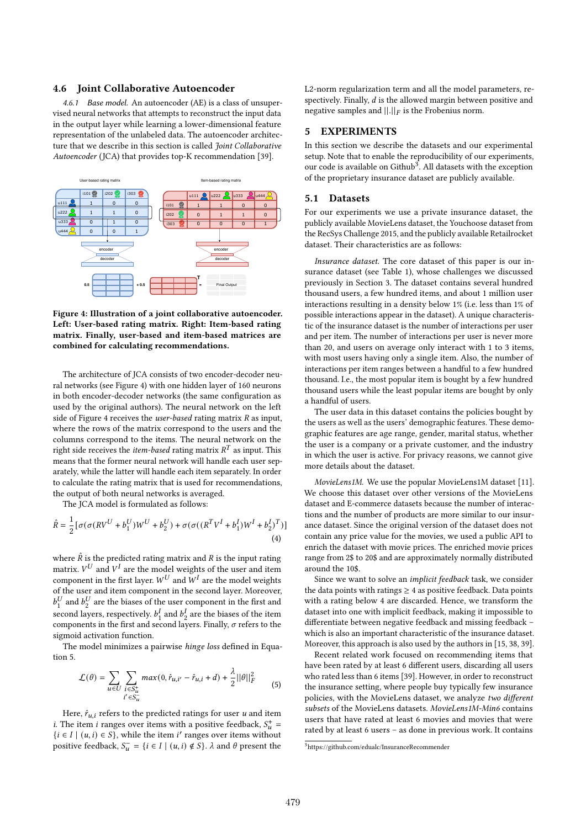#### 4.6 Joint Collaborative Autoencoder

4.6.1 Base model. An autoencoder (AE) is a class of unsupervised neural networks that attempts to reconstruct the input data in the output layer while learning a lower-dimensional feature representation of the unlabeled data. The autoencoder architecture that we describe in this section is called *Joint Collaborative* Autoencoder (JCA) that provides top-K recommendation [39].



Figure 4: Illustration of a joint collaborative autoencoder. Left: User-based rating matrix. Right: Item-based rating matrix. Finally, user-based and item-based matrices are combined for calculating recommendations.

The architecture of JCA consists of two encoder-decoder neural networks (see Figure 4) with one hidden layer of 160 neurons in both encoder-decoder networks (the same configuration as used by the original authors). The neural network on the left side of Figure 4 receives the *user-based* rating matrix  $R$  as input, where the rows of the matrix correspond to the users and the columns correspond to the items. The neural network on the right side receives the *item-based* rating matrix  $R^T$  as input. This means that the former neural network will handle each user separately, while the latter will handle each item separately. In order to calculate the rating matrix that is used for recommendations, the output of both neural networks is averaged.

The JCA model is formulated as follows:

$$
\hat{R} = \frac{1}{2} [\sigma(\sigma(RV^{U} + b_1^{U})W^{U} + b_2^{U}) + \sigma(\sigma((R^{T}V^{I} + b_1^{I})W^{I} + b_2^{I})^{T})]
$$
\n(4)

where  $\hat{R}$  is the predicted rating matrix and  $R$  is the input rating matrix.  $V^U$  and  $V^I$  are the model weights of the user and item component in the first layer.  $W^U$  and  $\overset{\circ}{W^I}$  are the model weights of the user and item component in the second layer. Moreover,  $b_1^U$  $_1^U$  and  $b_2^U$  $\frac{U}{2}$  are the biases of the user component in the first and second layers, respectively.  $b_1^l$  $\frac{I}{1}$  and  $b^1$  $\frac{1}{2}$  are the biases of the item components in the first and second layers. Finally,  $\sigma$  refers to the sigmoid activation function.

The model minimizes a pairwise hinge loss defined in Equation 5.

$$
\mathcal{L}(\theta) = \sum_{u \in U} \sum_{\substack{i \in S_u^+ \\ i' \in S_u^-}} max(0, \hat{r}_{u,i'} - \hat{r}_{u,i} + d) + \frac{\lambda}{2} ||\theta||_F^2
$$
 (5)

Here,  $\hat{r}_{u,i}$  refers to the predicted ratings for user u and item *i*. The item *i* ranges over items with a positive feedback,  $S_u^+$  = { $i \in I$  | ( $u, i$ ) ∈  $S$ }, while the item  $i'$  ranges over items without positive feedback,  $S_{\mathbf{u}}^- = \{i \in I \mid (u,i) \notin S\}$ .  $\lambda$  and  $\theta$  present the

L2-norm regularization term and all the model parameters, respectively. Finally,  $d$  is the allowed margin between positive and negative samples and  $\left\| . \right\|_F$  is the Frobenius norm.

#### 5 EXPERIMENTS

In this section we describe the datasets and our experimental setup. Note that to enable the reproducibility of our experiments, our code is available on Github<sup>3</sup>. All datasets with the exception of the proprietary insurance dataset are publicly available.

#### 5.1 Datasets

For our experiments we use a private insurance dataset, the publicly available MovieLens dataset, the Youchoose dataset from the RecSys Challenge 2015, and the publicly available Retailrocket dataset. Their characteristics are as follows:

Insurance dataset. The core dataset of this paper is our insurance dataset (see Table 1), whose challenges we discussed previously in Section 3. The dataset contains several hundred thousand users, a few hundred items, and about 1 million user interactions resulting in a density below 1% (i.e. less than 1% of possible interactions appear in the dataset). A unique characteristic of the insurance dataset is the number of interactions per user and per item. The number of interactions per user is never more than 20, and users on average only interact with 1 to 3 items, with most users having only a single item. Also, the number of interactions per item ranges between a handful to a few hundred thousand. I.e., the most popular item is bought by a few hundred thousand users while the least popular items are bought by only a handful of users.

The user data in this dataset contains the policies bought by the users as well as the users' demographic features. These demographic features are age range, gender, marital status, whether the user is a company or a private customer, and the industry in which the user is active. For privacy reasons, we cannot give more details about the dataset.

MovieLens1M. We use the popular MovieLens1M dataset [11]. We choose this dataset over other versions of the MovieLens dataset and E-commerce datasets because the number of interactions and the number of products are more similar to our insurance dataset. Since the original version of the dataset does not contain any price value for the movies, we used a public API to enrich the dataset with movie prices. The enriched movie prices range from 2\$ to 20\$ and are approximately normally distributed around the 10\$.

Since we want to solve an implicit feedback task, we consider the data points with ratings  $\geq 4$  as positive feedback. Data points with a rating below 4 are discarded. Hence, we transform the dataset into one with implicit feedback, making it impossible to differentiate between negative feedback and missing feedback – which is also an important characteristic of the insurance dataset. Moreover, this approach is also used by the authors in [15, 38, 39].

Recent related work focused on recommending items that have been rated by at least 6 different users, discarding all users who rated less than 6 items [39]. However, in order to reconstruct the insurance setting, where people buy typically few insurance policies, with the MovieLens dataset, we analyze two different subsets of the MovieLens datasets. MovieLens1M-Min6 contains users that have rated at least 6 movies and movies that were rated by at least 6 users – as done in previous work. It contains

<sup>3</sup>https://github.com/edualc/InsuranceRecommender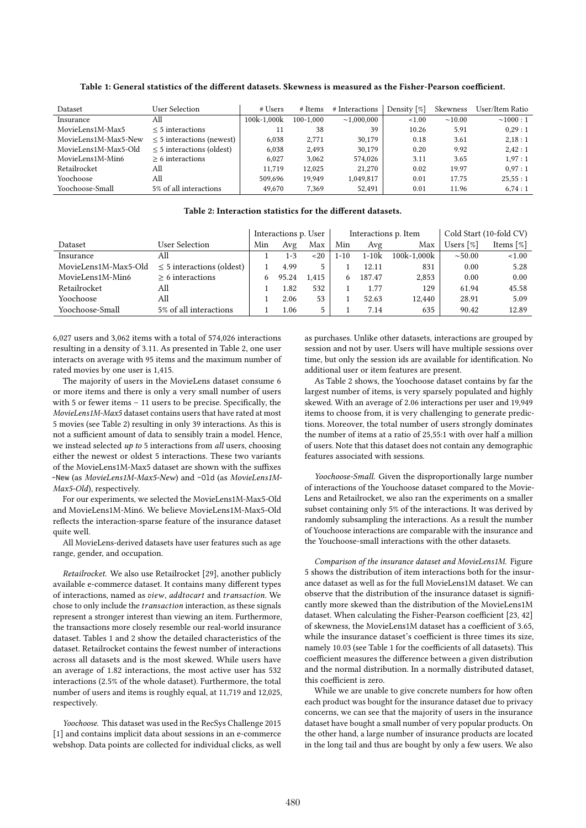| Dataset              | User Selection                 | # Users     | # Items   | # Interactions   | Density [%] | Skewness     | User/Item Ratio |
|----------------------|--------------------------------|-------------|-----------|------------------|-------------|--------------|-----------------|
| Insurance            | All                            | 100k-1.000k | 100-1.000 | $\sim$ 1.000.000 | < 1.00      | $\sim$ 10.00 | $\sim 1000:1$   |
| MovieLens1M-Max5     | $\leq$ 5 interactions          |             | 38        | 39               | 10.26       | 5.91         | 0.29:1          |
| MovieLens1M-Max5-New | $\leq$ 5 interactions (newest) | 6.038       | 2.771     | 30.179           | 0.18        | 3.61         | 2.18:1          |
| MovieLens1M-Max5-Old | $\leq$ 5 interactions (oldest) | 6.038       | 2.493     | 30,179           | 0.20        | 9.92         | 2.42:1          |
| MovieLens1M-Min6     | $> 6$ interactions             | 6.027       | 3.062     | 574.026          | 3.11        | 3.65         | 1.97:1          |
| Retailrocket         | All                            | 11.719      | 12.025    | 21,270           | 0.02        | 19.97        | 0.97:1          |
| Yoochoose            | All                            | 509.696     | 19.949    | 1,049,817        | 0.01        | 17.75        | 25.55:1         |
| Yoochoose-Small      | 5% of all interactions         | 49.670      | 7.369     | 52.491           | 0.01        | 11.96        | 6.74:1          |

Table 1: General statistics of the different datasets. Skewness is measured as the Fisher-Pearson coefficient.

## Table 2: Interaction statistics for the different datasets.

|                      |                                | Interactions p. User |       |       |          |         | Interactions p. Item | Cold Start (10-fold CV) |                          |  |
|----------------------|--------------------------------|----------------------|-------|-------|----------|---------|----------------------|-------------------------|--------------------------|--|
| Dataset              | User Selection                 | Min                  | Avg   | Max   | Min      | Avg     | Max                  | Users [%]               | Items $\lceil \% \rceil$ |  |
| Insurance            | All                            |                      | 1-3   | ~120  | $1 - 10$ | $1-10k$ | $100k - 1.000k$      | $\sim 50.00$            | < 1.00                   |  |
| MovieLens1M-Max5-Old | $\leq$ 5 interactions (oldest) |                      | 4.99  | 5.    |          | 12.11   | 831                  | 0.00                    | 5.28                     |  |
| MovieLens1M-Min6     | $> 6$ interactions             |                      | 95.24 | 1,415 |          | 187.47  | 2.853                | 0.00                    | 0.00                     |  |
| Retailrocket         | All                            |                      | 1.82  | 532   |          | 1.77    | 129                  | 61.94                   | 45.58                    |  |
| Yoochoose            | All                            |                      | 2.06  | 53    |          | 52.63   | 12,440               | 28.91                   | 5.09                     |  |
| Yoochoose-Small      | 5% of all interactions         |                      | 1.06  | 5.    |          | 7.14    | 635                  | 90.42                   | 12.89                    |  |

6,027 users and 3,062 items with a total of 574,026 interactions resulting in a density of 3.11. As presented in Table 2, one user interacts on average with 95 items and the maximum number of rated movies by one user is 1,415.

The majority of users in the MovieLens dataset consume 6 or more items and there is only a very small number of users with 5 or fewer items – 11 users to be precise. Specifically, the MovieLens1M-Max5 dataset contains users that have rated at most 5 movies (see Table 2) resulting in only 39 interactions. As this is not a sufficient amount of data to sensibly train a model. Hence, we instead selected up to 5 interactions from all users, choosing either the newest or oldest 5 interactions. These two variants of the MovieLens1M-Max5 dataset are shown with the suffixes -New (as MovieLens1M-Max5-New) and -Old (as MovieLens1M-Max5-Old), respectively.

For our experiments, we selected the MovieLens1M-Max5-Old and MovieLens1M-Min6. We believe MovieLens1M-Max5-Old reflects the interaction-sparse feature of the insurance dataset quite well.

All MovieLens-derived datasets have user features such as age range, gender, and occupation.

Retailrocket. We also use Retailrocket [29], another publicly available e-commerce dataset. It contains many different types of interactions, named as view, addtocart and transaction. We chose to only include the *transaction* interaction, as these signals represent a stronger interest than viewing an item. Furthermore, the transactions more closely resemble our real-world insurance dataset. Tables 1 and 2 show the detailed characteristics of the dataset. Retailrocket contains the fewest number of interactions across all datasets and is the most skewed. While users have an average of 1.82 interactions, the most active user has 532 interactions (2.5% of the whole dataset). Furthermore, the total number of users and items is roughly equal, at 11,719 and 12,025, respectively.

Yoochoose. This dataset was used in the RecSys Challenge 2015 [1] and contains implicit data about sessions in an e-commerce webshop. Data points are collected for individual clicks, as well

as purchases. Unlike other datasets, interactions are grouped by session and not by user. Users will have multiple sessions over time, but only the session ids are available for identification. No additional user or item features are present.

As Table 2 shows, the Yoochoose dataset contains by far the largest number of items, is very sparsely populated and highly skewed. With an average of 2.06 interactions per user and 19,949 items to choose from, it is very challenging to generate predictions. Moreover, the total number of users strongly dominates the number of items at a ratio of 25,55:1 with over half a million of users. Note that this dataset does not contain any demographic features associated with sessions.

Yoochoose-Small. Given the disproportionally large number of interactions of the Youchoose dataset compared to the Movie-Lens and Retailrocket, we also ran the experiments on a smaller subset containing only 5% of the interactions. It was derived by randomly subsampling the interactions. As a result the number of Youchoose interactions are comparable with the insurance and the Youchoose-small interactions with the other datasets.

Comparison of the insurance dataset and MovieLens1M. Figure 5 shows the distribution of item interactions both for the insurance dataset as well as for the full MovieLens1M dataset. We can observe that the distribution of the insurance dataset is significantly more skewed than the distribution of the MovieLens1M dataset. When calculating the Fisher-Pearson coefficient [23, 42] of skewness, the MovieLens1M dataset has a coefficient of 3.65, while the insurance dataset's coefficient is three times its size, namely 10.03 (see Table 1 for the coefficients of all datasets). This coefficient measures the difference between a given distribution and the normal distribution. In a normally distributed dataset, this coefficient is zero.

While we are unable to give concrete numbers for how often each product was bought for the insurance dataset due to privacy concerns, we can see that the majority of users in the insurance dataset have bought a small number of very popular products. On the other hand, a large number of insurance products are located in the long tail and thus are bought by only a few users. We also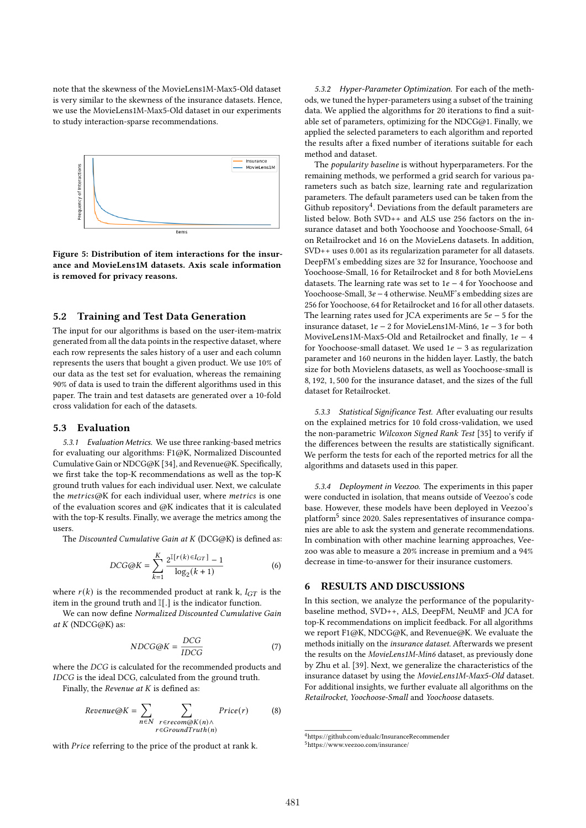note that the skewness of the MovieLens1M-Max5-Old dataset is very similar to the skewness of the insurance datasets. Hence, we use the MovieLens1M-Max5-Old dataset in our experiments to study interaction-sparse recommendations.



Figure 5: Distribution of item interactions for the insurance and MovieLens1M datasets. Axis scale information is removed for privacy reasons.

#### 5.2 Training and Test Data Generation

The input for our algorithms is based on the user-item-matrix generated from all the data points in the respective dataset, where each row represents the sales history of a user and each column represents the users that bought a given product. We use 10% of our data as the test set for evaluation, whereas the remaining 90% of data is used to train the different algorithms used in this paper. The train and test datasets are generated over a 10-fold cross validation for each of the datasets.

## 5.3 Evaluation

5.3.1 Evaluation Metrics. We use three ranking-based metrics for evaluating our algorithms: F1@K, Normalized Discounted Cumulative Gain or NDCG@K [34], and Revenue@K. Specifically, we first take the top-K recommendations as well as the top-K ground truth values for each individual user. Next, we calculate the  $metrics@K$  for each individual user, where metrics is one of the evaluation scores and @K indicates that it is calculated with the top-K results. Finally, we average the metrics among the users.

The Discounted Cumulative Gain at K (DCG@K) is defined as:

$$
DCG@K = \sum_{k=1}^{K} \frac{2^{\mathbb{I}[r(k)\in I_{GT}]}-1}{\log_2(k+1)}
$$
(6)

where  $r(k)$  is the recommended product at rank k,  $I_{GT}$  is the item in the ground truth and I[.] is the indicator function.

We can now define Normalized Discounted Cumulative Gain at  $K$  (NDCG@K) as:

$$
NDCG@K = \frac{DCG}{IDCG}
$$
 (7)

where the DCG is calculated for the recommended products and IDCG is the ideal DCG, calculated from the ground truth.

Finally, the Revenue at  $K$  is defined as:

$$
Revenue@K = \sum_{n \in N} \sum_{\substack{r \in recon@K(n) \land \\ r \in GroundTruth(n)}} Price(r) \tag{8}
$$

with *Price* referring to the price of the product at rank k.

5.3.2 Hyper-Parameter Optimization. For each of the methods, we tuned the hyper-parameters using a subset of the training data. We applied the algorithms for 20 iterations to find a suitable set of parameters, optimizing for the NDCG@1. Finally, we applied the selected parameters to each algorithm and reported the results after a fixed number of iterations suitable for each method and dataset.

The popularity baseline is without hyperparameters. For the remaining methods, we performed a grid search for various parameters such as batch size, learning rate and regularization parameters. The default parameters used can be taken from the Github repository<sup>4</sup>. Deviations from the default parameters are listed below. Both SVD++ and ALS use 256 factors on the insurance dataset and both Yoochoose and Yoochoose-Small, 64 on Retailrocket and 16 on the MovieLens datasets. In addition, SVD++ uses 0.001 as its regularization parameter for all datasets. DeepFM's embedding sizes are 32 for Insurance, Yoochoose and Yoochoose-Small, 16 for Retailrocket and 8 for both MovieLens datasets. The learning rate was set to  $1e - 4$  for Yoochoose and Yoochoose-Small, 3e − 4 otherwise. NeuMF's embedding sizes are 256 for Yoochoose, 64 for Retailrocket and 16 for all other datasets. The learning rates used for JCA experiments are  $5e - 5$  for the insurance dataset,  $1e - 2$  for MovieLens1M-Min6,  $1e - 3$  for both MoviveLens1M-Max5-Old and Retailrocket and finally,  $1e - 4$ for Yoochoose-small dataset. We used  $1e - 3$  as regularization parameter and 160 neurons in the hidden layer. Lastly, the batch size for both Movielens datasets, as well as Yoochoose-small is 8, 192, 1, 500 for the insurance dataset, and the sizes of the full dataset for Retailrocket.

5.3.3 Statistical Significance Test. After evaluating our results on the explained metrics for 10 fold cross-validation, we used the non-parametric Wilcoxon Signed Rank Test [35] to verify if the differences between the results are statistically significant. We perform the tests for each of the reported metrics for all the algorithms and datasets used in this paper.

5.3.4 Deployment in Veezoo. The experiments in this paper were conducted in isolation, that means outside of Veezoo's code base. However, these models have been deployed in Veezoo's platform<sup>5</sup> since 2020. Sales representatives of insurance companies are able to ask the system and generate recommendations. In combination with other machine learning approaches, Veezoo was able to measure a 20% increase in premium and a 94% decrease in time-to-answer for their insurance customers.

## 6 RESULTS AND DISCUSSIONS

In this section, we analyze the performance of the popularitybaseline method, SVD++, ALS, DeepFM, NeuMF and JCA for top-K recommendations on implicit feedback. For all algorithms we report F1@K, NDCG@K, and Revenue@K. We evaluate the methods initially on the insurance dataset. Afterwards we present the results on the MovieLens1M-Min6 dataset, as previously done by Zhu et al. [39]. Next, we generalize the characteristics of the insurance dataset by using the MovieLens1M-Max5-Old dataset. For additional insights, we further evaluate all algorithms on the Retailrocket, Yoochoose-Small and Yoochoose datasets.

<sup>4</sup>https://github.com/edualc/InsuranceRecommender

<sup>5</sup>https://www.veezoo.com/insurance/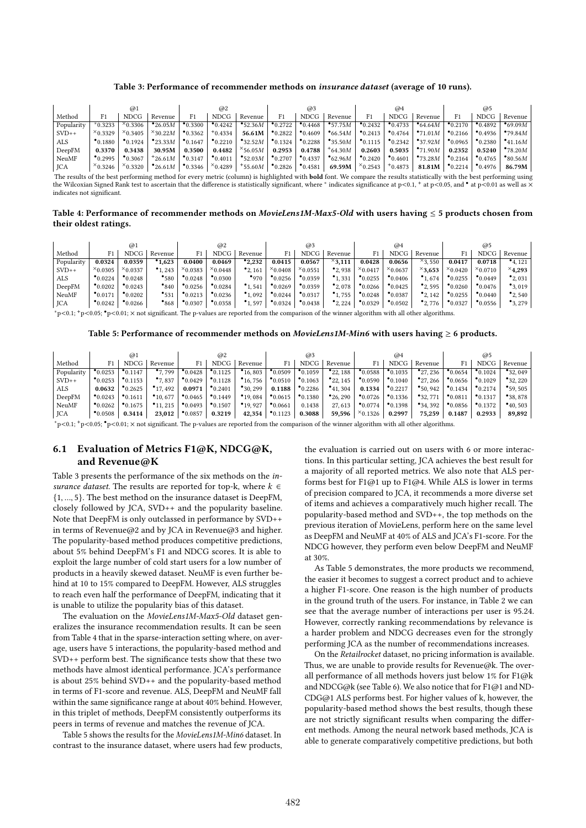#### Table 3: Performance of recommender methods on insurance dataset (average of 10 runs).

|              |                     | @1                  |                     |                     | @2                  |                    |                     | @3                  |                     |                     | @4                  |                     |                     | @5                  |                    |
|--------------|---------------------|---------------------|---------------------|---------------------|---------------------|--------------------|---------------------|---------------------|---------------------|---------------------|---------------------|---------------------|---------------------|---------------------|--------------------|
| Method       |                     | <b>NDCG</b>         | Revenue             | F1                  | <b>NDCG</b>         | Revenue            | F1                  | <b>NDCG</b>         | Revenue             | F1                  | <b>NDCG</b>         | Revenue             | F <sub>1</sub>      | <b>NDCG</b>         | Revenue            |
| Popularity   | $*0.3233$           | $x_{0.3306}$        | $^{\bullet}$ 26.05M | $^{\bullet}$ 0.3300 | $^{\bullet}$ 0.4242 | •52.36M            | $^{\bullet}$ 0.2722 | $^{\bullet}0.4468$  | • 57.75M            | $^{\bullet}$ 0.2432 | $^{\bullet}$ 0.4733 | $\bullet$ 64.64 $M$ | $^{\bullet}$ 0.2170 | $^{\bullet}0.4892$  | $^{\bullet}69.09M$ |
| $SVD++$      | $x_{0.3329}$        | $x_{0.3405}$        | $\times$ 30.22M     | $^{\bullet}$ 0.3362 | $+0.4334$           | 56.61M             | $^{\bullet}0.2822$  | $^{\bullet}0.4609$  | $\bullet$ 66.54 $M$ | $^{\bullet}$ 0.2413 | $^{\bullet}0.4764$  | $^{\bullet}71.01M$  | $^{\bullet}0.2166$  | $^{\bullet}$ 0.4936 | •79.84M            |
| ALS          | $^{\bullet}$ 0.1880 | $^{\bullet}$ 0.1924 | $^{\bullet}$ 23.33M | $^{\bullet}$ 0.1647 | $^{\bullet}$ 0.2210 | $^{\bullet}32.52M$ | $^{\bullet}$ 0.1324 | $^{\bullet}$ 0.2288 | $^{\bullet}35.50M$  | $^{\bullet}$ 0.1115 | $^{\bullet}$ 0.2342 | $^{\bullet}37.92M$  | $^{\bullet}0.0965$  | $^{\bullet}$ 0.2380 | •41.16M            |
| DeepFM       | 0.3370              | 0.3438              | 30.95M              | 0.3500              | 0.4482              | $\times$ 56.05M    | 0.2953              | 0.4788              | $+64.30M$           | 0.2603              | 0.5035              | •71.90M             | 0.2352              | 0.5240              | •78.20M            |
| <b>NeuMF</b> | $^{\bullet}$ 0.2995 | $^{\bullet}$ 0.3067 | $+26.61M$           | $^{\bullet}$ 0.3147 | $^{\bullet}$ 0.4011 | •52.03M            | $^{\bullet}$ 0.2707 | $^{\bullet}$ 0.4337 | $^{\bullet}62.96M$  | $^{\bullet}$ 0.2420 | $^{\bullet}$ 0.4601 | $^{\bullet}73.28M$  | $^{\bullet}$ 0.2164 | $^{\bullet}$ 0.4765 | $\cdot$ 80.56M     |
| JCA          | $x_{0.3246}$        | $\times$ 0.3320     | $^{\bullet}26.61M$  | $^{\bullet}$ 0.3346 | $x_{0.4289}$        | $+55.60M$          | $^{\bullet}0.2826$  | $^{\bullet}0.4581$  | 69.59M              | $\times$ 0.2543     | $+0.4873$           | 81.81M              | $^{\bullet}0.2214$  | $^{\bullet}$ 0.4976 | 86.79M             |

The results of the best performing method for every metric (column) is highlighted with **bold** font. We compare the results statistically with the best performing using the Wilcoxian Signed Rank test to ascertain that the difference is statistically significant, where  $^*$  indicates significance at p<0.1,  $^+$  at p<0.05, and  $^{\bullet}$  at p<0.01 as well as  $\times$ indicates not significant.

Table 4: Performance of recommender methods on MovieLens1M-Max5-Old with users having  $\leq$  5 products chosen from their oldest ratings.

|              |                     | @1                  |                     |                     | @2                  |                     |                    | @3                  |                     |                    | @4                  |                     |                    | @5                  |                     |
|--------------|---------------------|---------------------|---------------------|---------------------|---------------------|---------------------|--------------------|---------------------|---------------------|--------------------|---------------------|---------------------|--------------------|---------------------|---------------------|
| Method       |                     | <b>NDCG</b>         | Revenue             |                     | <b>NDCG</b>         | Revenue             |                    | <b>NDCG</b>         | Revenue             | F1                 | <b>NDCG</b>         | Revenue             | F1                 | NDCG                | Revenue             |
| Popularity   | 0.0324              | 0.0359              | 1,623               | 0.0400              | 0.0469              | $^{\bullet}2.232$   | 0.0415             | 0.0567              | $x_{3,111}$         | 0.0428             | 0.0656              | $^{\times}3.550$    | 0.0417             | 0.0718              | $^{\bullet}$ 4, 121 |
| $SVD++$      | $^{\times}$ 0.0305  | $x_{0.0337}$        | $^{\bullet}$ 1, 243 | $x_{0.0383}$        | $x_{0.0448}$        | $^{\bullet}$ 2, 161 | $x_{0.0408}$       | $x_{0.0551}$        | $^{\bullet}$ 2, 938 | $x_{0.0417}$       | $x_{0.0637}$        | $^{\times}3,653$    | $x_{0.0420}$       | $x_{0.0710}$        | $\times$ 4,293      |
| ALS          | $^{\bullet}0.0224$  | $^{\bullet}0.0248$  | •580                | $^{\bullet}0.0248$  | $^{\bullet}0.0300$  | •970                | $^{\bullet}0.0256$ | $^{\bullet}0.0359$  | $^{\bullet}$ 1, 331 | $^{\bullet}0.0255$ | $^{\bullet}0.0406$  | $^{\bullet}1,674$   | $^{\bullet}0.0255$ | $^{\bullet}0.0449$  | $^{\bullet}2,031$   |
| DeepFM       | $^{\bullet}$ 0.0202 | $^{\bullet}$ 0.0243 | $^{\bullet}$ 840    | $^{\bullet}$ 0.0256 | $^{\bullet}0.0284$  | $^{\bullet}$ 1.541  | 0.0269             | $^{\bullet}$ 0.0359 | $^{\bullet}$ 2, 078 | $^{\bullet}0.0266$ | $^{\bullet}$ 0.0425 | $^{\bullet}$ 2, 595 | $^{\bullet}0.0260$ | $^{\bullet}0.0476$  | $^{\bullet}3.019$   |
| <b>NeuMF</b> | $^{\bullet}$ 0.0171 | $^{\bullet}0.0202$  | $^{\bullet}$ 531    | $^{\bullet}0.0213$  | $^{\bullet}$ 0.0236 | $^{\bullet}$ 1,092  | $^{\bullet}0.0244$ | $^{\bullet}$ 0.0317 | $^{\bullet}$ 1, 755 | $^{\bullet}0.0248$ | $^{\bullet}$ 0.0387 | $^{\bullet}$ 2, 142 | $^{\bullet}0.0255$ | $^{\bullet}$ 0.0440 | $^{\bullet}$ 2, 540 |
| JCA          | $^{\bullet}0.0242$  | $^{\bullet}0.0266$  | $^{\bullet}868$     | $^{\bullet}0.0307$  | $^{\bullet}0.0358$  | •1,597              | $^{\bullet}0.0324$ | $^{\bullet}0.0438$  | $^{\bullet}2,224$   | $^{\bullet}0.0329$ | $^{\bullet}0.0502$  | $^{\bullet}$ 2, 776 | $^{\bullet}0.0327$ | $^{\bullet}0.0556$  | $^{\bullet}3,279$   |
|              |                     |                     |                     | ___                 |                     |                     |                    | $\sim$              |                     | $\sim$ $\sim$      | .                   | .                   |                    |                     |                     |

<sup>∗</sup>p<0.1; <sup>+</sup>p<0.05; •p<0.01; × not significant. The p-values are reported from the comparison of the winner algorithm with all other algorithms.

#### Table 5: Performance of recommender methods on *MovieLens1M-Min6* with users having  $\geq 6$  products.

|            |                    | @1                  |                      |                     | @2                  |                      |                     | @3                  |                      |                    | @4                  |                      |                     | @5                  |                      |
|------------|--------------------|---------------------|----------------------|---------------------|---------------------|----------------------|---------------------|---------------------|----------------------|--------------------|---------------------|----------------------|---------------------|---------------------|----------------------|
| Method     |                    | <b>NDCG</b>         | Revenue              |                     | <b>NDCG</b>         | Revenue              | F1                  | <b>NDCG</b>         | Revenue              | F1                 | NDCG                | Revenue              | F1                  | <b>NDCG</b>         | Revenue              |
| Popularity | $^{\bullet}0.0253$ | $^{\bullet}$ 0.1147 | $^{\bullet}7.799$    | $^{\bullet}$ 0.0428 | $^{\bullet}$ 0.1125 | $^{\bullet}$ 16,803  | $^{\bullet}0.0509$  | $^{\bullet}$ 0.1059 | $^{\bullet}$ 22, 188 | $^{\bullet}0.0588$ | $^{\bullet}$ 0.1035 | $^{\bullet}$ 27, 236 | $^{\bullet}$ 0.0654 | $^{\bullet}$ 0.1024 | $^{\bullet}32.049$   |
| $SVD++$    | $^{\bullet}0.0253$ | $^{\bullet}$ 0.1153 | $^{\bullet}7.837$    | $^{\bullet}$ 0.0429 | $^{\bullet}$ 0.1128 | $^{\bullet}$ 16, 756 | $^{\bullet}0.0510$  | $^{\bullet}$ 0.1063 | $^{\bullet}$ 22, 145 | $^{\bullet}0.0590$ | $^{\bullet}$ 0.1040 | $^{\bullet}$ 27, 266 | $^{\bullet}$ 0.0656 | $^{\bullet}$ 0.1029 | $^{\bullet}32,220$   |
| ALS        | 0.0632             | $^{\bullet}$ 0.2625 | $^{\bullet}$ 17, 492 | 0.0971              | $^{\bullet}$ 0.2401 | $^{\bullet}30.299$   | 0.1188              | $^{\bullet}$ 0.2286 | $^{\bullet}$ 41, 304 | 0.1334             | $^{\bullet}$ 0.2217 | $^{\bullet}50.942$   | $^{\bullet}$ 0.1434 | $^{\bullet}$ 0.2174 | $^{\bullet}59.505$   |
| DeepFM     | $^{\bullet}0.0243$ | $^{\bullet}$ 0.1611 | $^{\bullet}10.677$   | $^{\bullet}0.0465$  | $^{\bullet}$ 0.1449 | $^{\bullet}$ 19,084  | $^{\bullet}0.0615$  | $^{\bullet}0.1380$  | $^{\bullet}$ 26, 290 | $^{\bullet}0.0726$ | $^{\bullet}$ 0.1336 | •32.771              | $^{\bullet}0.0811$  | $^{\bullet}$ 0.1317 | $^{\bullet}38.878$   |
| NeuMF      | $^{\bullet}0.0262$ | $^{\bullet}$ 0.1675 | $^{\bullet}$ 11, 215 | $^{\bullet}0.0493$  | $^{\bullet}$ 0.1507 | $^{\bullet}$ 19, 927 | $^{\bullet}0.0661$  | 0.1438              | 27, 613              | $^{\bullet}0.0774$ | $^{\bullet}$ 0.1398 | $^{\bullet}34,392$   | $^{\bullet}$ 0.0856 | $^{\bullet}$ 0.1372 | $^{\bullet}$ 40, 503 |
| JCA        | $^{\bullet}0.0508$ | 0.3414              | 23,012               | $^{\bullet}0.0857$  | 0.3219              | 42,354               | $^{\bullet}$ 0.1123 | 0.3088              | 59,596               | $x_{0.1326}$       | 0.2997              | 75.259               | 0.1487              | 0.2933              | 89,892               |

<sup>∗</sup>p<0.1; <sup>+</sup>p<0.05; •p<0.01; × not significant. The p-values are reported from the comparison of the winner algorithm with all other algorithms.

# 6.1 Evaluation of Metrics F1@K, NDCG@K, and Revenue@K

Table 3 presents the performance of the six methods on the insurance dataset. The results are reported for top-k, where  $k \in$ {1, ..., 5}. The best method on the insurance dataset is DeepFM, closely followed by JCA, SVD++ and the popularity baseline. Note that DeepFM is only outclassed in performance by SVD++ in terms of Revenue@2 and by JCA in Revenue@3 and higher. The popularity-based method produces competitive predictions, about 5% behind DeepFM's F1 and NDCG scores. It is able to exploit the large number of cold start users for a low number of products in a heavily skewed dataset. NeuMF is even further behind at 10 to 15% compared to DeepFM. However, ALS struggles to reach even half the performance of DeepFM, indicating that it is unable to utilize the popularity bias of this dataset.

The evaluation on the MovieLens1M-Max5-Old dataset generalizes the insurance recommendation results. It can be seen from Table 4 that in the sparse-interaction setting where, on average, users have 5 interactions, the popularity-based method and SVD++ perform best. The significance tests show that these two methods have almost identical performance. JCA's performance is about 25% behind SVD++ and the popularity-based method in terms of F1-score and revenue. ALS, DeepFM and NeuMF fall within the same significance range at about 40% behind. However, in this triplet of methods, DeepFM consistently outperforms its peers in terms of revenue and matches the revenue of JCA.

Table 5 shows the results for the MovieLens1M-Min6 dataset. In contrast to the insurance dataset, where users had few products,

the evaluation is carried out on users with 6 or more interactions. In this particular setting, JCA achieves the best result for a majority of all reported metrics. We also note that ALS performs best for  $F1@1$  up to  $F1@4$ . While ALS is lower in terms of precision compared to JCA, it recommends a more diverse set of items and achieves a comparatively much higher recall. The popularity-based method and SVD++, the top methods on the previous iteration of MovieLens, perform here on the same level as DeepFM and NeuMF at 40% of ALS and JCA's F1-score. For the NDCG however, they perform even below DeepFM and NeuMF at 30%.

As Table 5 demonstrates, the more products we recommend, the easier it becomes to suggest a correct product and to achieve a higher F1-score. One reason is the high number of products in the ground truth of the users. For instance, in Table 2 we can see that the average number of interactions per user is 95.24. However, correctly ranking recommendations by relevance is a harder problem and NDCG decreases even for the strongly performing JCA as the number of recommendations increases.

On the Retailrocket dataset, no pricing information is available. Thus, we are unable to provide results for Revenue@k. The overall performance of all methods hovers just below 1% for F1@k and NDCG@k (see Table 6). We also notice that for F1@1 and ND-CDG@1 ALS performs best. For higher values of k, however, the popularity-based method shows the best results, though these are not strictly significant results when comparing the different methods. Among the neural network based methods, JCA is able to generate comparatively competitive predictions, but both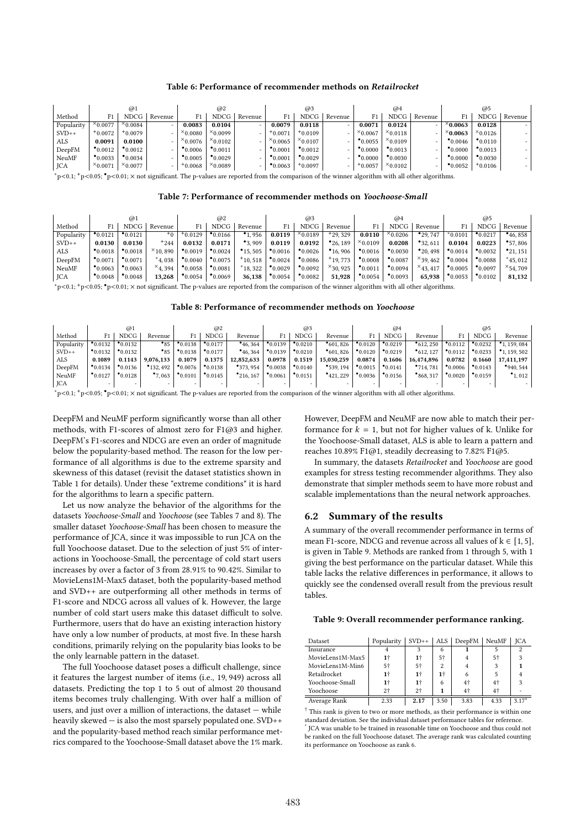#### Table 6: Performance of recommender methods on Retailrocket

|            |                     | $\omega$           |         |                    | @2                  |                          |                    | @3                  |         |                    | @4                  |         |                    | @5                  |         |
|------------|---------------------|--------------------|---------|--------------------|---------------------|--------------------------|--------------------|---------------------|---------|--------------------|---------------------|---------|--------------------|---------------------|---------|
| Method     |                     | <b>NDCG</b>        | Revenue | F1                 | <b>NDCG</b>         | Revenue                  | F1                 | <b>NDCG</b>         | Revenue | F1                 | NDCG                | Revenue | F1                 | NDCG                | Revenue |
| Popularity | $\times$ 0.0077     | $\times$ 0.0084    | -       | 0.0083             | 0.0104              | ۰                        | 0.0079             | 0.0118              |         | 0.0071             | 0.0124              |         | $^{\times}$ 0.0063 | 0.0128              |         |
| $SVD++$    | $+0.0072$           | $+0.0079$          | $\sim$  | $^{\times}$ 0.0080 | $x_{0.0099}$        | $\overline{\phantom{0}}$ | $+0.0071$          | 10.0109             |         | $x_{0.0067}$       | $x_{0.0118}$        |         | $\times$ 0.0063    | $x_{0.0126}$        |         |
| ALS        | 0.0091              | 0.0100             | -       | $^{\times}$ 0.0076 | $x_{0.0102}$        | ۰                        | $x_{0.0065}$       | $x_{0.0107}$        |         | $^{\bullet}0.0055$ | $x_{0.0109}$        |         | $^{\bullet}0.0046$ | $^{\bullet}$ 0.0110 |         |
| DeepFM     | $^{\bullet}$ 0.0012 | $^{\bullet}0.0012$ | -       | $^{\bullet}0.0006$ | $^{\bullet}$ 0.0011 | $\overline{\phantom{0}}$ | $^{\bullet}0.0001$ | $^{\bullet}0.0012$  |         | $^{\bullet}0.0000$ | $^{\bullet}$ 0.0013 |         | $^{\bullet}0.0000$ | $^{\bullet}$ 0.0013 |         |
| NeuMF      | $^{\bullet}$ 0.0033 | $^{\bullet}0.0034$ |         | $^{\bullet}0.0005$ | $^{\bullet}0.0029$  | $\overline{\phantom{0}}$ | $^{\bullet}0.0001$ | $^{\bullet}0.0029$  |         | $^{\bullet}0.0000$ | $^{\bullet}0.0030$  |         | $^{\bullet}0.0000$ | $^{\bullet}0.0030$  |         |
| JCA        | $x_{0.0071}$        | $x_{0.0077}$       |         | $+0.0068$          | $x_{0.0089}$        |                          | $^{\bullet}0.0063$ | $^{\text{+}}0.0097$ |         | $+0.0057$          | $x_{0.0102}$        |         | $^{\bullet}0.0052$ | $+0.0106$           |         |

<sup>∗</sup>p<0.1; <sup>+</sup>p<0.05; •p<0.01; × not significant. The p-values are reported from the comparison of the winner algorithm with all other algorithms.

Table 7: Performance of recommender methods on Yoochoose-Small

|                                                                                                                                                                     |                     | $\omega$           |                     |                     | @2                  |                      |                     | @3                 |                      |                     | @4                 |                      |                    | @5                  |                      |
|---------------------------------------------------------------------------------------------------------------------------------------------------------------------|---------------------|--------------------|---------------------|---------------------|---------------------|----------------------|---------------------|--------------------|----------------------|---------------------|--------------------|----------------------|--------------------|---------------------|----------------------|
| Method                                                                                                                                                              |                     | <b>NDCG</b>        | Revenue             |                     | <b>NDCG</b>         | Revenue              | F1                  | <b>NDCG</b>        | Revenue              | F1                  | <b>NDCG</b>        | Revenue              | F1                 | NDCG                | Revenue              |
| Popularity                                                                                                                                                          | $^{\bullet}0.0121$  | $^{\bullet}0.0121$ | $+0$                | $+0.0129$           | $^{\bullet}$ 0.0166 | .956                 | 0.0119              | $x_{0.0189}$       | $+29.329$            | 0.0110              | $x_{0.0206}$       | $^{\bullet}$ 29, 747 | $^*0.0101$         | $^{\bullet}$ 0.0217 | $^{\bullet}$ 46, 858 |
| $SVD++$                                                                                                                                                             | 0.0130              | 0.0130             | $+244$              | 0.0132              | 0.0171              | $^{\bullet}3.909$    | 0.0119              | 0.0192             | $^{\bullet}$ 26, 189 | $x_{0.0109}$        | 0.0208             | $^{\bullet}32.611$   | 0.0104             | 0.0223              | $^{\bullet}57.806$   |
| ALS                                                                                                                                                                 | $^{\bullet}$ 0.0018 | $^{\bullet}0.0018$ | $^{\times}$ 10, 890 | $^{\bullet}$ 0.0019 | $^{\bullet}0.0024$  | $^{\bullet}$ 15, 505 | $^{\bullet}$ 0.0016 | $^{\bullet}0.0026$ | $^{\bullet}$ 16, 906 | $^{\bullet}$ 0.0016 | $^{\bullet}0.0030$ | $^{\bullet}$ 20, 498 | $^{\bullet}0.0014$ | $^{\bullet}0.0032$  | $^{\bullet}$ 21, 151 |
| DeepFM                                                                                                                                                              | •0.0071             | $^{\bullet}0.0071$ | $*4.038$            | $^{\bullet}0.0040$  | $^{\bullet}0.0075$  | $+10.518$            | $^{\bullet}0.0024$  | $^{\bullet}0.0086$ | $+19.773$            | $^{\bullet}0.0008$  | $^{\bullet}0.0087$ | $\times$ 39, 462     | $^{\bullet}0.0004$ | $^{\bullet}0.0088$  | $*$ 45, 012          |
| NeuMF                                                                                                                                                               | $^{\bullet}0.0063$  | $^{\bullet}0.0063$ | $\times$ 4, 394     | $^{\bullet}0.0058$  | $^{\bullet}$ 0.0081 | $*18.322$            | $^{\bullet}0.0029$  | $^{\bullet}0.0092$ | $^{\times}$ 30, 925  | $^{\bullet}$ 0.0011 | $^{\bullet}0.0094$ | $\times$ 43.417      | $^{\bullet}0.0005$ | $^{\bullet}$ 0.0097 | $^{\times}$ 54, 709  |
| <b>JCA</b>                                                                                                                                                          | $^{\bullet}0.0048$  | $^{\bullet}0.0048$ | 13,268              | $^{\bullet}0.0054$  | $^{\bullet}0.0069$  | 36,138               | $^{\bullet}0.0054$  | $^{\bullet}0.0082$ | 51,928               | $^{\bullet}0.0054$  | $^{\bullet}0.0093$ | 65,938               | $^{\bullet}0.0053$ | $^{\bullet}0.0102$  | 81,132               |
| *p<0.1; $\tau$ p<0.05; $\bullet$ p<0.01; $\times$ not significant. The p-values are reported from the comparison of the winner algorithm with all other algorithms. |                     |                    |                     |                     |                     |                      |                     |                    |                      |                     |                    |                      |                    |                     |                      |

Table 8: Performance of recommender methods on Yoochoose

|            |                    | @1                 |                          |                    | @2                  |                          |                          | @3                       |                          |                     | @4                       |                     |                    | @5                 |                          |
|------------|--------------------|--------------------|--------------------------|--------------------|---------------------|--------------------------|--------------------------|--------------------------|--------------------------|---------------------|--------------------------|---------------------|--------------------|--------------------|--------------------------|
| Method     | F1                 | <b>NDCG</b>        | Revenue                  |                    | <b>NDCG</b>         | Revenue                  | F1.                      | NDCG                     | Revenue                  | F1                  | NDCG                     | Revenue             | F1                 | <b>NDCG</b>        | Revenue                  |
| Popularity | $^{\bullet}0.0132$ | $^{\bullet}0.0132$ | $^{\bullet}85$           | $^{\bullet}0.0138$ | $^{\bullet}$ 0.0177 | $^{\bullet}$ 46, 364     | $^{\bullet}$ 0.0139      | $^{\bullet}0.0210$       | $^{\bullet}601.826$      | $^{\bullet}$ 0.0120 | $^{\bullet}$ 0.0219      | $^{\bullet}612.250$ | $^{\bullet}0.0112$ | $^{\bullet}0.0232$ | 1.159.084                |
| $SVD++$    | $^{\bullet}0.0132$ | $^{\bullet}0.0132$ | $^{\bullet}85$           | $^{\bullet}0.0138$ | $^{\bullet}0.0177$  | $^{\bullet}$ 46, 364     | $^{\bullet}0.0139$       | $^{\bullet}0.0210$       | $^{\bullet}601.826$      | $^{\bullet}0.0120$  | $^{\bullet}0.0219$       | $^{\bullet}612.127$ | $^{\bullet}0.0112$ | $^{\bullet}0.0233$ | $^{\bullet}$ 1, 159, 502 |
| ALS        | 0.1089             | 0.1143             | 9.076.133                | 0.1079             | 0.1375              | 12.852.633               | 0.0978                   | 0.1519                   | 15.030.259               | 0.0874              | 0.1606                   | 16.474.896          | 0.0782             | 0.1660             | 17.411.197               |
| DeepFM     | $^{\bullet}0.0134$ | $^{\bullet}0.0136$ | $^{\bullet}$ 132, 492    | $^{\bullet}0.0076$ | $^{\bullet}0.0138$  | $^{\bullet}373.954$      | $^{\bullet}0.0038$       | $^{\bullet}0.0140$       | $^{\bullet}$ 539, 194    | $^{\bullet}0.0015$  | $^{\bullet}0.0141$       | •714.781            | $^{\bullet}0.0006$ | $^{\bullet}0.0143$ | $^{\bullet}940.544$      |
| NeuMF      | $^{\bullet}0.0127$ | $^{\bullet}0.0128$ | $^{\bullet}7,063$        | $^{\bullet}0.0101$ | $^{\bullet}0.0145$  | $^{\bullet}$ 216, 167    | $^{\bullet}0.0061$       | $^{\bullet}0.0151$       | $^{\bullet}421.229$      | $^{\bullet}0.0036$  | $^{\bullet}0.0156$       | $^{\bullet}868,317$ | $^{\bullet}0.0020$ | $^{\bullet}0.0159$ | $^{\bullet}1,012$        |
| <b>JCA</b> |                    |                    | $\overline{\phantom{a}}$ | -                  | -                   | $\overline{\phantom{0}}$ | $\overline{\phantom{0}}$ | $\overline{\phantom{0}}$ | $\overline{\phantom{0}}$ | -                   | $\overline{\phantom{0}}$ |                     | -                  | $-$                |                          |

<sup>∗</sup>p<0.1; <sup>+</sup>p<0.05; •p<0.01; × not significant. The p-values are reported from the comparison of the winner algorithm with all other algorithms.

DeepFM and NeuMF perform significantly worse than all other methods, with F1-scores of almost zero for F1@3 and higher. DeepFM's F1-scores and NDCG are even an order of magnitude below the popularity-based method. The reason for the low performance of all algorithms is due to the extreme sparsity and skewness of this dataset (revisit the dataset statistics shown in Table 1 for details). Under these "extreme conditions" it is hard for the algorithms to learn a specific pattern.

Let us now analyze the behavior of the algorithms for the datasets Yoochoose-Small and Yoochoose (see Tables 7 and 8). The smaller dataset Yoochoose-Small has been chosen to measure the performance of JCA, since it was impossible to run JCA on the full Yoochoose dataset. Due to the selection of just 5% of interactions in Yoochoose-Small, the percentage of cold start users increases by over a factor of 3 from 28.91% to 90.42%. Similar to MovieLens1M-Max5 dataset, both the popularity-based method and SVD++ are outperforming all other methods in terms of F1-score and NDCG across all values of k. However, the large number of cold start users make this dataset difficult to solve. Furthermore, users that do have an existing interaction history have only a low number of products, at most five. In these harsh conditions, primarily relying on the popularity bias looks to be the only learnable pattern in the dataset.

The full Yoochoose dataset poses a difficult challenge, since it features the largest number of items (i.e., 19, 949) across all datasets. Predicting the top 1 to 5 out of almost 20 thousand items becomes truly challenging. With over half a million of users, and just over a million of interactions, the dataset — while heavily skewed — is also the most sparsely populated one. SVD++ and the popularity-based method reach similar performance metrics compared to the Yoochoose-Small dataset above the 1% mark. However, DeepFM and NeuMF are now able to match their performance for  $k = 1$ , but not for higher values of k. Unlike for the Yoochoose-Small dataset, ALS is able to learn a pattern and reaches 10.89% F1@1, steadily decreasing to 7.82% F1@5.

In summary, the datasets Retailrocket and Yoochoose are good examples for stress testing recommender algorithms. They also demonstrate that simpler methods seem to have more robust and scalable implementations than the neural network approaches.

## 6.2 Summary of the results

A summary of the overall recommender performance in terms of mean F1-score, NDCG and revenue across all values of  $k \in [1, 5]$ , is given in Table 9. Methods are ranked from 1 through 5, with 1 giving the best performance on the particular dataset. While this table lacks the relative differences in performance, it allows to quickly see the condensed overall result from the previous result tables.

#### Table 9: Overall recommender performance ranking.

| Dataset          | Popularity | $SVD++$ |      | ALS   DeepFM   | NeuMF          | <b>ICA</b> |
|------------------|------------|---------|------|----------------|----------------|------------|
| Insurance        |            |         | 6    |                |                | 2          |
| MovieLens1M-Max5 | 1†         | 1†      | 5†   |                | 5†             |            |
| MovieLens1M-Min6 | 5†         | 5†      | 2    |                |                |            |
| Retailrocket     |            | 1†      | 1†   |                |                |            |
| Yoochoose-Small  |            | 1†      | 6    | 4 <sup>†</sup> | 4 <sup>†</sup> | 3          |
| Yoochoose        | 2†         | $2+$    |      | 4†             | $4+$           |            |
| Average Rank     | 2.33       | 2.17    | 3.50 | 3.83           | 4.33           | $3.17*$    |

† This rank is given to two or more methods, as their performance is within one standard deviation. See the individual dataset performance tables for reference.

\* JCA was unable to be trained in reasonable time on Yoochoose and thus could not be ranked on the full Yoochoose dataset. The average rank was calculated counting its performance on Yoochoose as rank 6.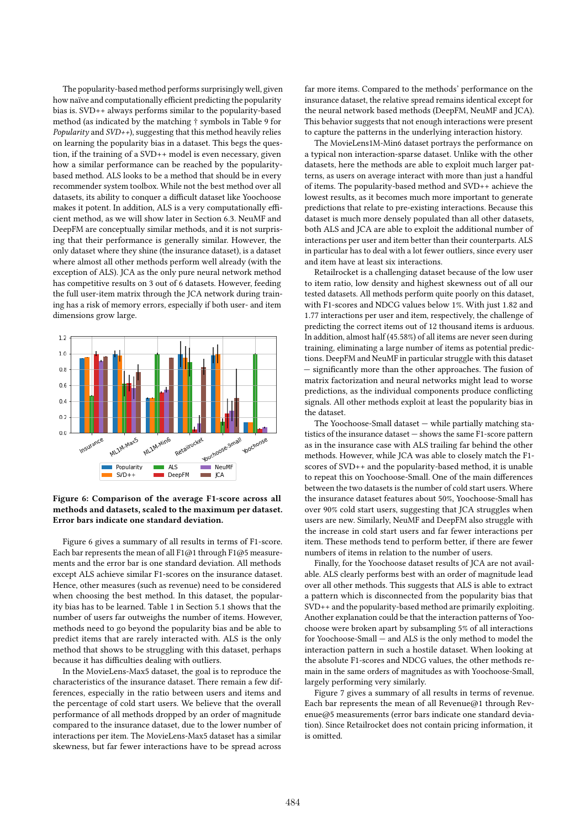The popularity-based method performs surprisingly well, given how naïve and computationally efficient predicting the popularity bias is. SVD++ always performs similar to the popularity-based method (as indicated by the matching † symbols in Table 9 for *Popularity* and  $SVD++$ ), suggesting that this method heavily relies on learning the popularity bias in a dataset. This begs the question, if the training of a SVD++ model is even necessary, given how a similar performance can be reached by the popularitybased method. ALS looks to be a method that should be in every recommender system toolbox. While not the best method over all datasets, its ability to conquer a difficult dataset like Yoochoose makes it potent. In addition, ALS is a very computationally efficient method, as we will show later in Section 6.3. NeuMF and DeepFM are conceptually similar methods, and it is not surprising that their performance is generally similar. However, the only dataset where they shine (the insurance dataset), is a dataset where almost all other methods perform well already (with the exception of ALS). JCA as the only pure neural network method has competitive results on 3 out of 6 datasets. However, feeding the full user-item matrix through the JCA network during training has a risk of memory errors, especially if both user- and item dimensions grow large.



Figure 6: Comparison of the average F1-score across all methods and datasets, scaled to the maximum per dataset. Error bars indicate one standard deviation.

Figure 6 gives a summary of all results in terms of F1-score. Each bar represents the mean of all F1@1 through F1@5 measurements and the error bar is one standard deviation. All methods except ALS achieve similar F1-scores on the insurance dataset. Hence, other measures (such as revenue) need to be considered when choosing the best method. In this dataset, the popularity bias has to be learned. Table 1 in Section 5.1 shows that the number of users far outweighs the number of items. However, methods need to go beyond the popularity bias and be able to predict items that are rarely interacted with. ALS is the only method that shows to be struggling with this dataset, perhaps because it has difficulties dealing with outliers.

In the MovieLens-Max5 dataset, the goal is to reproduce the characteristics of the insurance dataset. There remain a few differences, especially in the ratio between users and items and the percentage of cold start users. We believe that the overall performance of all methods dropped by an order of magnitude compared to the insurance dataset, due to the lower number of interactions per item. The MovieLens-Max5 dataset has a similar skewness, but far fewer interactions have to be spread across

far more items. Compared to the methods' performance on the insurance dataset, the relative spread remains identical except for the neural network based methods (DeepFM, NeuMF and JCA). This behavior suggests that not enough interactions were present to capture the patterns in the underlying interaction history.

The MovieLens1M-Min6 dataset portrays the performance on a typical non interaction-sparse dataset. Unlike with the other datasets, here the methods are able to exploit much larger patterns, as users on average interact with more than just a handful of items. The popularity-based method and SVD++ achieve the lowest results, as it becomes much more important to generate predictions that relate to pre-existing interactions. Because this dataset is much more densely populated than all other datasets, both ALS and JCA are able to exploit the additional number of interactions per user and item better than their counterparts. ALS in particular has to deal with a lot fewer outliers, since every user and item have at least six interactions.

Retailrocket is a challenging dataset because of the low user to item ratio, low density and highest skewness out of all our tested datasets. All methods perform quite poorly on this dataset, with F1-scores and NDCG values below 1%. With just 1.82 and 1.77 interactions per user and item, respectively, the challenge of predicting the correct items out of 12 thousand items is arduous. In addition, almost half (45.58%) of all items are never seen during training, eliminating a large number of items as potential predictions. DeepFM and NeuMF in particular struggle with this dataset — significantly more than the other approaches. The fusion of matrix factorization and neural networks might lead to worse predictions, as the individual components produce conflicting signals. All other methods exploit at least the popularity bias in the dataset.

The Yoochoose-Small dataset — while partially matching statistics of the insurance dataset — shows the same F1-score pattern as in the insurance case with ALS trailing far behind the other methods. However, while JCA was able to closely match the F1 scores of SVD++ and the popularity-based method, it is unable to repeat this on Yoochoose-Small. One of the main differences between the two datasets is the number of cold start users. Where the insurance dataset features about 50%, Yoochoose-Small has over 90% cold start users, suggesting that JCA struggles when users are new. Similarly, NeuMF and DeepFM also struggle with the increase in cold start users and far fewer interactions per item. These methods tend to perform better, if there are fewer numbers of items in relation to the number of users.

Finally, for the Yoochoose dataset results of JCA are not available. ALS clearly performs best with an order of magnitude lead over all other methods. This suggests that ALS is able to extract a pattern which is disconnected from the popularity bias that SVD++ and the popularity-based method are primarily exploiting. Another explanation could be that the interaction patterns of Yoochoose were broken apart by subsampling 5% of all interactions for Yoochoose-Small — and ALS is the only method to model the interaction pattern in such a hostile dataset. When looking at the absolute F1-scores and NDCG values, the other methods remain in the same orders of magnitudes as with Yoochoose-Small, largely performing very similarly.

Figure 7 gives a summary of all results in terms of revenue. Each bar represents the mean of all Revenue@1 through Revenue@5 measurements (error bars indicate one standard deviation). Since Retailrocket does not contain pricing information, it is omitted.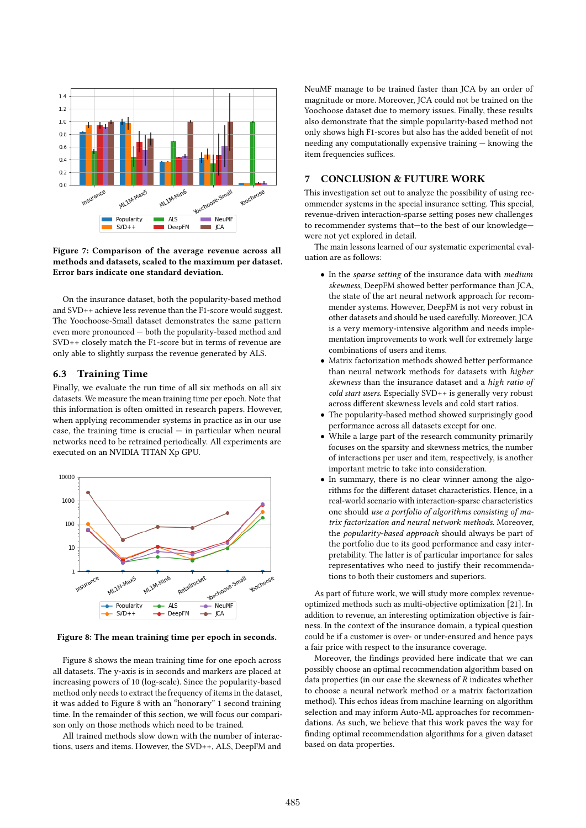

Figure 7: Comparison of the average revenue across all methods and datasets, scaled to the maximum per dataset. Error bars indicate one standard deviation.

On the insurance dataset, both the popularity-based method and SVD++ achieve less revenue than the F1-score would suggest. The Yoochoose-Small dataset demonstrates the same pattern even more pronounced — both the popularity-based method and SVD++ closely match the F1-score but in terms of revenue are only able to slightly surpass the revenue generated by ALS.

## 6.3 Training Time

Finally, we evaluate the run time of all six methods on all six datasets. We measure the mean training time per epoch. Note that this information is often omitted in research papers. However, when applying recommender systems in practice as in our use case, the training time is crucial  $-$  in particular when neural networks need to be retrained periodically. All experiments are executed on an NVIDIA TITAN Xp GPU.



Figure 8: The mean training time per epoch in seconds.

Figure 8 shows the mean training time for one epoch across all datasets. The y-axis is in seconds and markers are placed at increasing powers of 10 (log-scale). Since the popularity-based method only needs to extract the frequency of items in the dataset, it was added to Figure 8 with an "honorary" 1 second training time. In the remainder of this section, we will focus our comparison only on those methods which need to be trained.

All trained methods slow down with the number of interactions, users and items. However, the SVD++, ALS, DeepFM and

NeuMF manage to be trained faster than JCA by an order of magnitude or more. Moreover, JCA could not be trained on the Yoochoose dataset due to memory issues. Finally, these results also demonstrate that the simple popularity-based method not only shows high F1-scores but also has the added benefit of not needing any computationally expensive training — knowing the item frequencies suffices.

## 7 CONCLUSION & FUTURE WORK

This investigation set out to analyze the possibility of using recommender systems in the special insurance setting. This special, revenue-driven interaction-sparse setting poses new challenges to recommender systems that—to the best of our knowledge were not yet explored in detail.

The main lessons learned of our systematic experimental evaluation are as follows:

- In the sparse setting of the insurance data with medium skewness, DeepFM showed better performance than JCA, the state of the art neural network approach for recommender systems. However, DeepFM is not very robust in other datasets and should be used carefully. Moreover, JCA is a very memory-intensive algorithm and needs implementation improvements to work well for extremely large combinations of users and items.
- Matrix factorization methods showed better performance than neural network methods for datasets with higher skewness than the insurance dataset and a high ratio of cold start users. Especially SVD++ is generally very robust across different skewness levels and cold start ratios.
- The popularity-based method showed surprisingly good performance across all datasets except for one.
- While a large part of the research community primarily focuses on the sparsity and skewness metrics, the number of interactions per user and item, respectively, is another important metric to take into consideration.
- In summary, there is no clear winner among the algorithms for the different dataset characteristics. Hence, in a real-world scenario with interaction-sparse characteristics one should use a portfolio of algorithms consisting of matrix factorization and neural network methods. Moreover, the popularity-based approach should always be part of the portfolio due to its good performance and easy interpretability. The latter is of particular importance for sales representatives who need to justify their recommendations to both their customers and superiors.

As part of future work, we will study more complex revenueoptimized methods such as multi-objective optimization [21]. In addition to revenue, an interesting optimization objective is fairness. In the context of the insurance domain, a typical question could be if a customer is over- or under-ensured and hence pays a fair price with respect to the insurance coverage.

Moreover, the findings provided here indicate that we can possibly choose an optimal recommendation algorithm based on data properties (in our case the skewness of  $R$  indicates whether to choose a neural network method or a matrix factorization method). This echos ideas from machine learning on algorithm selection and may inform Auto-ML approaches for recommendations. As such, we believe that this work paves the way for finding optimal recommendation algorithms for a given dataset based on data properties.